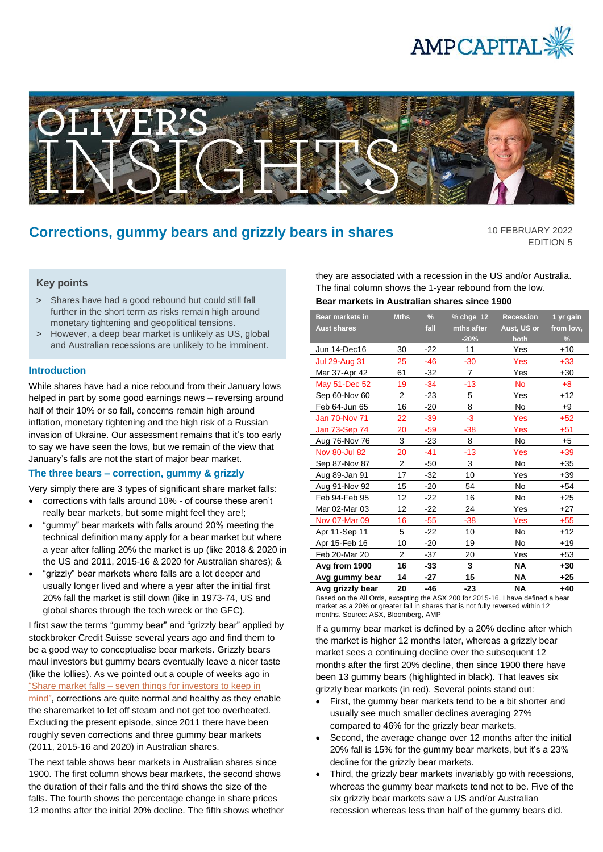



# **Corrections, gummy bears and grizzly bears in shares**

10 FEBRUARY 2022 EDITION 5

# **Key points**

- > Shares have had a good rebound but could still fall further in the short term as risks remain high around monetary tightening and geopolitical tensions.
- > However, a deep bear market is unlikely as US, global and Australian recessions are unlikely to be imminent.

# **Introduction**

While shares have had a nice rebound from their January lows helped in part by some good earnings news – reversing around half of their 10% or so fall, concerns remain high around inflation, monetary tightening and the high risk of a Russian invasion of Ukraine. Our assessment remains that it's too early to say we have seen the lows, but we remain of the view that January's falls are not the start of major bear market.

# **The three bears – correction, gummy & grizzly**

Very simply there are 3 types of significant share market falls:

- corrections with falls around 10% of course these aren't really bear markets, but some might feel they are!;
- "gummy" bear markets with falls around 20% meeting the technical definition many apply for a bear market but where a year after falling 20% the market is up (like 2018 & 2020 in the US and 2011, 2015-16 & 2020 for Australian shares); &
- "grizzly" bear markets where falls are a lot deeper and usually longer lived and where a year after the initial first 20% fall the market is still down (like in 1973-74, US and global shares through the tech wreck or the GFC).

I first saw the terms "gummy bear" and "grizzly bear" applied by stockbroker Credit Suisse several years ago and find them to be a good way to conceptualise bear markets. Grizzly bears maul investors but gummy bears eventually leave a nicer taste (like the lollies). As we pointed out a couple of weeks ago in "Share market falls – [seven things for investors to keep in](https://www.ampcapital.com/au/en/insights-hub/articles/2022/january/share-market-falls-seven-things-for-investors-to-keep-in-mind?csid=1012228073)  [mind",](https://www.ampcapital.com/au/en/insights-hub/articles/2022/january/share-market-falls-seven-things-for-investors-to-keep-in-mind?csid=1012228073) corrections are quite normal and healthy as they enable the sharemarket to let off steam and not get too overheated. Excluding the present episode, since 2011 there have been roughly seven corrections and three gummy bear markets (2011, 2015-16 and 2020) in Australian shares.

The next table shows bear markets in Australian shares since 1900. The first column shows bear markets, the second shows the duration of their falls and the third shows the size of the falls. The fourth shows the percentage change in share prices 12 months after the initial 20% decline. The fifth shows whether they are associated with a recession in the US and/or Australia. The final column shows the 1-year rebound from the low. **Bear markets in Australian shares since 1900**

#### **Bear markets in Aust shares Mths % fall % chge 12 mths after -20% Recession Aust, US or both 1 yr gain from low, %** Jun 14-Dec16 30 -22 11 Yes +10 Jul 29-Aug 31 25 -46 -30 Yes +33 Mar 37-Apr 42 61 -32 7 Yes +30 May 51-Dec 52 19 -34 -13 No +8 Sep 60-Nov 60 2 -23 5 Yes +12 Feb 64-Jun 65 16 -20 8 No +9 Jan 70-Nov 71 22 -39 -3 Yes +52 Jan 73-Sep 74 20 -59 -38 Yes +51 Aug 76-Nov 76 3 -23 8 No +5 Nov 80-Jul 82 20 -41 -13 Yes +39 Sep 87-Nov 87 2 -50 3 No +35 Aug 89-Jan 91 17 -32 10 Yes +39 Aug 91-Nov 92 15 -20 54 No +54 Feb 94-Feb 95 12 -22 16 No +25 Mar 02-Mar 03 12 -22 24 Yes +27 Nov 07-Mar 09 16 -55 -38 Yes +55 Apr 11-Sep 11 5 -22 10 No +12 Apr 15-Feb 16 10 -20 19 No +19 Feb 20-Mar 20 2 -37 20 Yes +53 **Avg from 1900 16 -33 3 NA +30 Avg gummy bear 14 -27 15 NA +25 Avg grizzly bear 20 -46 -23 NA +40**

Based on the All Ords, excepting the ASX 200 for 2015-16. I have defined a bear market as a 20% or greater fall in shares that is not fully reversed within 12 months. Source: ASX, Bloomberg, AMP

If a gummy bear market is defined by a 20% decline after which the market is higher 12 months later, whereas a grizzly bear market sees a continuing decline over the subsequent 12 months after the first 20% decline, then since 1900 there have been 13 gummy bears (highlighted in black). That leaves six grizzly bear markets (in red). Several points stand out:

- First, the gummy bear markets tend to be a bit shorter and usually see much smaller declines averaging 27% compared to 46% for the grizzly bear markets.
- Second, the average change over 12 months after the initial 20% fall is 15% for the gummy bear markets, but it's a 23% decline for the grizzly bear markets.
- Third, the grizzly bear markets invariably go with recessions, whereas the gummy bear markets tend not to be. Five of the six grizzly bear markets saw a US and/or Australian recession whereas less than half of the gummy bears did.